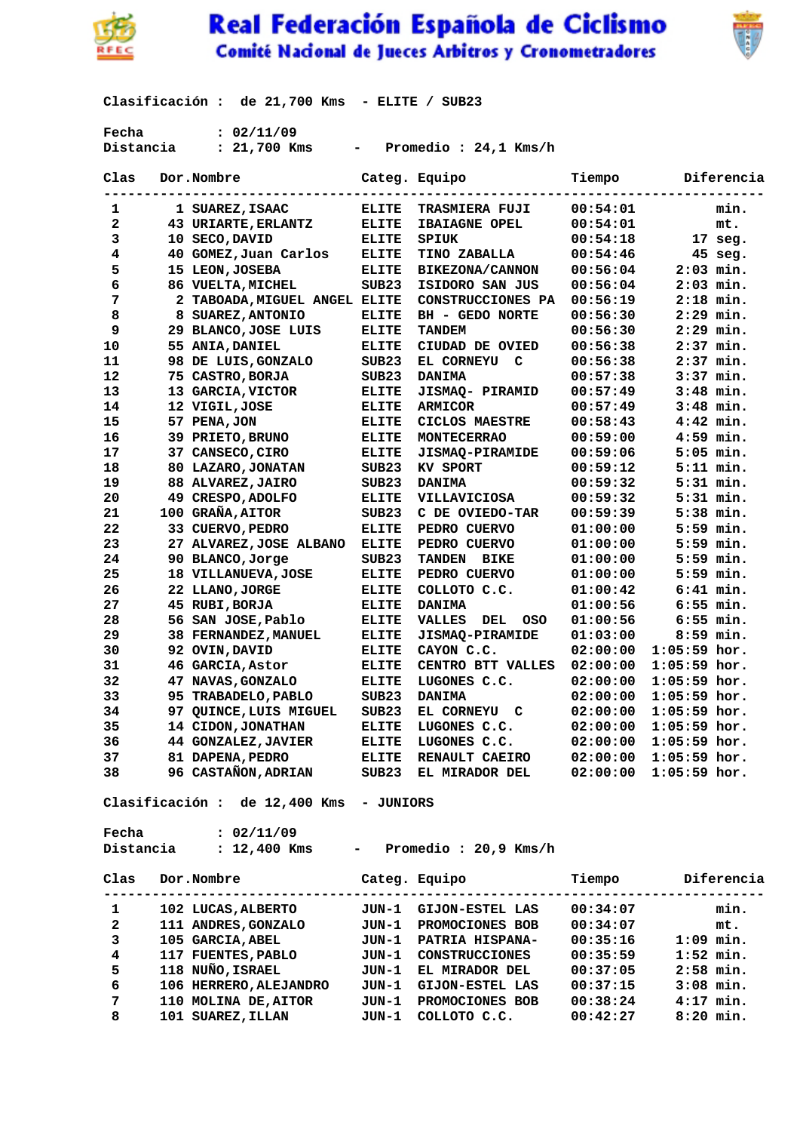

Real Federación Española de Ciclismo Comité Nacional de Jueces Arbitros y Cronometradores



 **Clasificación : de 21,700 Kms - ELITE / SUB23**

 **Fecha : 02/11/09**

 **Distancia : 21,700 Kms - Promedio : 24,1 Kms/h** 

| Clas         | Dor.Nombre                                     |              | Categ. Equipo                | Tiempo   | Diferencia           |
|--------------|------------------------------------------------|--------------|------------------------------|----------|----------------------|
| 1            | 1 SUAREZ, ISAAC                                | <b>ELITE</b> | <b>TRASMIERA FUJI</b>        | 00:54:01 | min.                 |
| 2            | 43 URIARTE, ERLANTZ                            | <b>ELITE</b> | <b>IBAIAGNE OPEL</b>         | 00:54:01 | mt.                  |
| 3            | 10 SECO, DAVID                                 | <b>ELITE</b> | <b>SPIUK</b>                 | 00:54:18 | $17$ seg.            |
| 4            | 40 GOMEZ, Juan Carlos                          | <b>ELITE</b> | <b>TINO ZABALLA</b>          | 00:54:46 | 45 seg.              |
| 5            | 15 LEON, JOSEBA                                | <b>ELITE</b> | BIKEZONA/CANNON              | 00:56:04 | $2:03$ min.          |
| 6            | 86 VUELTA, MICHEL                              | SUB23        | <b>ISIDORO SAN JUS</b>       | 00:56:04 | $2:03$ min.          |
| 7            | 2 TABOADA, MIGUEL ANGEL ELITE                  |              | CONSTRUCCIONES PA            | 00:56:19 | $2:18$ min.          |
| 8            | 8 SUAREZ, ANTONIO                              | <b>ELITE</b> | BH - GEDO NORTE              | 00:56:30 | $2:29$ min.          |
| 9            | 29 BLANCO, JOSE LUIS                           | <b>ELITE</b> | <b>TANDEM</b>                | 00:56:30 | $2:29$ min.          |
| 10           | 55 ANIA, DANIEL                                | <b>ELITE</b> | CIUDAD DE OVIED              | 00:56:38 | $2:37$ min.          |
| 11           | 98 DE LUIS, GONZALO                            | SUB23        | <b>EL CORNEYU</b><br>C       | 00:56:38 | $2:37$ min.          |
| 12           | 75 CASTRO, BORJA                               | SUB23        | <b>DANIMA</b>                | 00:57:38 | $3:37$ min.          |
| 13           | 13 GARCIA, VICTOR                              | <b>ELITE</b> | JISMAQ- PIRAMID              | 00:57:49 | $3:48$ min.          |
| 14           | 12 VIGIL, JOSE                                 | <b>ELITE</b> | <b>ARMICOR</b>               | 00:57:49 | $3:48$ min.          |
| 15           | 57 PENA, JON                                   | <b>ELITE</b> | CICLOS MAESTRE               | 00:58:43 | $4:42$ min.          |
| 16           | 39 PRIETO, BRUNO                               | <b>ELITE</b> | <b>MONTECERRAO</b>           | 00:59:00 | $4:59$ min.          |
| 17           | 37 CANSECO, CIRO                               | <b>ELITE</b> | JISMAQ-PIRAMIDE              | 00:59:06 | $5:05$ min.          |
| 18           | 80 LAZARO, JONATAN                             | SUB23        | KV SPORT                     | 00:59:12 | $5:11$ min.          |
| 19           | 88 ALVAREZ, JAIRO                              | SUB23        | <b>DANIMA</b>                | 00:59:32 | $5:31$ min.          |
| 20           | 49 CRESPO, ADOLFO                              | <b>ELITE</b> | VILLAVICIOSA                 | 00:59:32 | $5:31$ min.          |
| 21           | 100 GRAÑA, AITOR                               | SUB23        | C DE OVIEDO-TAR              | 00:59:39 | $5:38$ min.          |
| 22           | 33 CUERVO, PEDRO                               | <b>ELITE</b> | PEDRO CUERVO                 | 01:00:00 | $5:59$ min.          |
| 23           | 27 ALVAREZ, JOSE ALBANO                        | <b>ELITE</b> | PEDRO CUERVO                 | 01:00:00 | $5:59$ min.          |
| 24           | 90 BLANCO, Jorge                               | SUB23        | <b>TANDEN</b><br><b>BIKE</b> | 01:00:00 | $5:59$ min.          |
| 25           | 18 VILLANUEVA, JOSE                            | <b>ELITE</b> | PEDRO CUERVO                 | 01:00:00 | $5:59$ min.          |
| 26           | 22 LLANO, JORGE                                | <b>ELITE</b> | COLLOTO C.C.                 | 01:00:42 | $6:41$ min.          |
| 27           | 45 RUBI, BORJA                                 | <b>ELITE</b> | <b>DANIMA</b>                | 01:00:56 | $6:55$ min.          |
| 28           | 56 SAN JOSE, Pablo                             | <b>ELITE</b> | <b>VALLES</b><br>DEL<br>oso  | 01:00:56 | $6:55$ min.          |
| 29           | 38 FERNANDEZ, MANUEL                           | <b>ELITE</b> | JISMAQ-PIRAMIDE              | 01:03:00 | $8:59$ min.          |
| 30           | 92 OVIN, DAVID                                 | <b>ELITE</b> | CAYON C.C.                   | 02:00:00 | $1:05:59$ hor.       |
| 31           | 46 GARCIA, Astor                               | <b>ELITE</b> | CENTRO BTT VALLES            | 02:00:00 | $1:05:59$ hor.       |
| 32           | 47 NAVAS, GONZALO                              | <b>ELITE</b> | LUGONES C.C.                 | 02:00:00 | $1:05:59$ hor.       |
| 33           | 95 TRABADELO, PABLO                            | SUB23        | <b>DANIMA</b>                | 02:00:00 | $1:05:59$ hor.       |
| 34           | 97 QUINCE, LUIS MIGUEL                         | SUB23        | EL CORNEYU C                 | 02:00:00 | $1:05:59$ hor.       |
| 35           | 14 CIDON, JONATHAN                             | <b>ELITE</b> | LUGONES C.C.                 | 02:00:00 | $1:05:59$ hor.       |
| 36           | 44 GONZALEZ, JAVIER                            | <b>ELITE</b> | LUGONES C.C.                 | 02:00:00 | $1:05:59$ hor.       |
| 37           | 81 DAPENA, PEDRO                               | <b>ELITE</b> | RENAULT CAEIRO               | 02:00:00 | $1:05:59$ hor.       |
| 38           | 96 CASTAÑON, ADRIAN                            | SUB23        | EL MIRADOR DEL               | 02:00:00 | $1:05:59$ hor.       |
|              | Clasificación : de 12,400 Kms - JUNIORS        |              |                              |          |                      |
| Fecha        | : 02/11/09                                     |              |                              |          |                      |
|              | Distancia : 12,400 Kms - Promedio : 20,9 Kms/h |              |                              |          |                      |
| Clas         | Dor.Nombre                                     |              | Categ. Equipo                | Tiempo   | Diferencia           |
| 1            | 102 LUCAS, ALBERTO                             |              | JUN-1 GIJON-ESTEL LAS        | 00:34:07 | min.                 |
| $\mathbf{2}$ | <b>111 ANDRES, GONZALO</b>                     |              | JUN-1 PROMOCIONES BOB        | 00:34:07 | mt.                  |
| 3            | 105 GARCIA, ABEL                               |              | JUN-1 PATRIA HISPANA-        | 00:35:16 | $1:09$ min.          |
| 4            | 117 FUENTES, PABLO                             |              | JUN-1 CONSTRUCCIONES         |          | 00:35:59 1:52 min.   |
| 5            | 118 NUÑO, ISRAEL                               | JUN-1        | EL MIRADOR DEL               |          | $00:37:05$ 2:58 min. |
| 6            | 106 HERRERO, ALEJANDRO                         | JUN-1        | GIJON-ESTEL LAS              | 00:37:15 | $3:08$ min.          |
|              |                                                |              |                              |          |                      |

 **7 110 MOLINA DE,AITOR JUN-1 PROMOCIONES BOB 00:38:24 4:17 min. 8 101 SUAREZ,ILLAN JUN-1 COLLOTO C.C. 00:42:27 8:20 min.**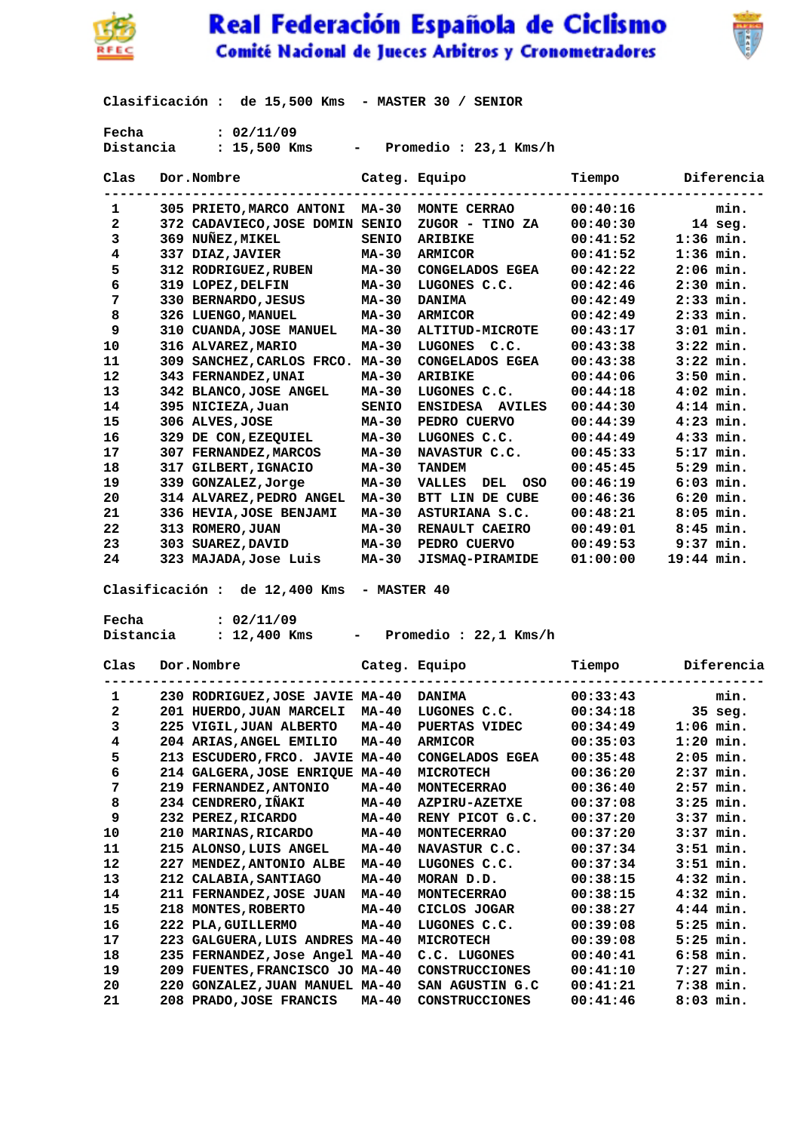

## Real Federación Española de Ciclismo Comité Nacional de Jueces Arbitros y Cronometradores



 **Clasificación : de 15,500 Kms - MASTER 30 / SENIOR**

 **Fecha : 02/11/09**

 **Distancia : 15,500 Kms - Promedio : 23,1 Kms/h** 

| Clas                    | Dor.Nombre                                     |              | Categ. Equipo          | Tiempo                                  | Diferencia        |
|-------------------------|------------------------------------------------|--------------|------------------------|-----------------------------------------|-------------------|
| 1                       | 305 PRIETO, MARCO ANTONI MA-30                 |              | MONTE CERRAO           | ---------------------------<br>00:40:16 | min.              |
| $\overline{2}$          | 372 CADAVIECO, JOSE DOMIN SENIO                |              | ZUGOR - TINO ZA        | 00:40:30                                | $14$ seg.         |
| 3                       | 369 NUÑEZ, MIKEL                               | <b>SENIO</b> | <b>ARIBIKE</b>         | 00:41:52                                | $1:36$ min.       |
| $\overline{\mathbf{4}}$ | 337 DIAZ,JAVIER                                | $MA-30$      | <b>ARMICOR</b>         | 00:41:52                                | $1:36$ min.       |
| 5                       | 312 RODRIGUEZ, RUBEN                           | <b>MA-30</b> | <b>CONGELADOS EGEA</b> | 00:42:22                                | $2:06$ min.       |
| 6                       | 319 LOPEZ, DELFIN                              | <b>MA-30</b> | LUGONES C.C.           | 00:42:46                                | $2:30$ min.       |
| 7                       | 330 BERNARDO, JESUS                            | MA-30        | <b>DANIMA</b>          | 00:42:49                                | $2:33$ min.       |
| 8                       | 326 LUENGO, MANUEL                             | <b>MA-30</b> | <b>ARMICOR</b>         | 00:42:49                                | $2:33$ min.       |
| 9                       | 310 CUANDA, JOSE MANUEL                        | MA-30        | ALTITUD-MICROTE        | 00:43:17                                | $3:01$ min.       |
| 10                      | 316 ALVAREZ, MARIO                             | MA-30        | LUGONES C.C.           | 00:43:38                                | $3:22$ min.       |
| 11                      | 309 SANCHEZ, CARLOS FRCO. MA-30                |              | CONGELADOS EGEA        | 00:43:38                                | $3:22$ min.       |
| 12                      | 343 FERNANDEZ, UNAI                            | MA-30        | <b>ARIBIKE</b>         | 00:44:06                                | $3:50$ min.       |
| 13                      | 342 BLANCO, JOSE ANGEL                         | <b>MA-30</b> | LUGONES C.C.           | 00:44:18                                | $4:02$ min.       |
| 14                      | 395 NICIEZA, Juan                              | <b>SENIO</b> | ENSIDESA AVILES        | 00:44:30                                | $4:14$ min.       |
| 15                      | 306 ALVES, JOSE                                | <b>MA-30</b> | PEDRO CUERVO           | 00:44:39                                | $4:23$ min.       |
| 16                      | 329 DE CON, EZEQUIEL                           | <b>MA-30</b> | LUGONES C.C.           | 00:44:49                                | $4:33$ min.       |
| 17                      | 307 FERNANDEZ, MARCOS                          | <b>MA-30</b> | NAVASTUR C.C.          | 00:45:33                                | $5:17$ min.       |
| 18                      | 317 GILBERT, IGNACIO                           | MA-30        | <b>TANDEM</b>          | 00:45:45                                | $5:29$ min.       |
| 19                      | 339 GONZALEZ, Jorge                            | MA-30        | VALLES DEL OSO         | 00:46:19                                | $6:03$ min.       |
| 20                      | 314 ALVAREZ, PEDRO ANGEL                       | <b>MA-30</b> | BTT LIN DE CUBE        | 00:46:36                                | $6:20$ min.       |
| 21                      | 336 HEVIA, JOSE BENJAMI                        | MA-30        | ASTURIANA S.C.         | 00:48:21                                | $8:05$ min.       |
| 22                      | 313 ROMERO, JUAN                               | <b>MA-30</b> | RENAULT CAEIRO         | 00:49:01                                | $8:45$ min.       |
| 23                      | 303 SUAREZ, DAVID                              | $MA-30$      | PEDRO CUERVO           | 00:49:53                                | 9:37 min.         |
| 24                      | 323 MAJADA, Jose Luis MA-30                    |              | <b>JISMAQ-PIRAMIDE</b> | 01:00:00                                | 19:44 min.        |
|                         | Distancia : 12,400 Kms - Promedio : 22,1 Kms/h |              |                        |                                         |                   |
| Clas                    | Dor.Nombre                                     |              | Categ. Equipo          |                                         | Tiempo Diferencia |
| $\mathbf{1}$            | 230 RODRIGUEZ, JOSE JAVIE MA-40                |              | <b>DANIMA</b>          | 00:33:43                                | min.              |
| $\mathbf{2}$            | 201 HUERDO, JUAN MARCELI MA-40                 |              | LUGONES C.C.           | $00:34:18$ 35 seg.                      |                   |
| 3                       | 225 VIGIL, JUAN ALBERTO                        | <b>MA-40</b> | <b>PUERTAS VIDEC</b>   | 00:34:49                                | $1:06$ min.       |
| $\overline{\mathbf{4}}$ | 204 ARIAS, ANGEL EMILIO                        | <b>MA-40</b> | <b>ARMICOR</b>         | 00:35:03                                | $1:20$ min.       |
| 5                       | 213 ESCUDERO, FRCO. JAVIE MA-40                |              | CONGELADOS EGEA        | 00:35:48                                | $2:05$ min.       |
| 6                       | 214 GALGERA, JOSE ENRIQUE MA-40                |              | <b>MICROTECH</b>       | 00:36:20                                | $2:37$ min.       |
| 7                       | 219 FERNANDEZ, ANTONIO                         | MA-40        | <b>MONTECERRAO</b>     | 00:36:40                                | $2:57$ min.       |
| 8                       | 234 CENDRERO, IÑAKI                            | MA-40        | <b>AZPIRU-AZETXE</b>   | 00:37:08                                | $3:25$ min.       |
| 9                       | 232 PEREZ, RICARDO                             | MA-40        | RENY PICOT G.C.        | 00:37:20                                | $3:37$ min.       |
| 10                      | 210 MARINAS, RICARDO                           | MA-40        | <b>MONTECERRAO</b>     | 00:37:20                                | $3:37$ min.       |
| 11                      | 215 ALONSO, LUIS ANGEL                         | MA-40        | NAVASTUR C.C.          | 00:37:34                                | $3:51$ min.       |
| 12                      | 227 MENDEZ, ANTONIO ALBE                       | MA-40        | LUGONES C.C.           | 00:37:34                                | $3:51$ min.       |
| 13                      | 212 CALABIA, SANTIAGO                          | MA-40        | MORAN D.D.             | 00:38:15                                | $4:32$ min.       |
| 14                      | 211 FERNANDEZ, JOSE JUAN                       | MA-40        | <b>MONTECERRAO</b>     | 00:38:15                                | $4:32$ min.       |
| 15                      | 218 MONTES, ROBERTO                            | MA-40        | CICLOS JOGAR           | 00:38:27                                | $4:44$ min.       |
| 16                      | 222 PLA, GUILLERMO                             | $MA-40$      | LUGONES C.C.           | 00:39:08                                | $5:25$ min.       |
| 17                      | 223 GALGUERA, LUIS ANDRES MA-40                |              | <b>MICROTECH</b>       | 00:39:08                                | $5:25$ min.       |
| 18                      | 235 FERNANDEZ, Jose Angel MA-40                |              | C.C. LUGONES           | 00:40:41                                | $6:58$ min.       |
| 19                      |                                                |              |                        |                                         |                   |
|                         | 209 FUENTES, FRANCISCO JO MA-40                |              | <b>CONSTRUCCIONES</b>  | 00:41:10                                | $7:27$ min.       |
| 20                      | 220 GONZALEZ, JUAN MANUEL MA-40                |              | SAN AGUSTIN G.C        | 00:41:21                                | $7:38$ min.       |